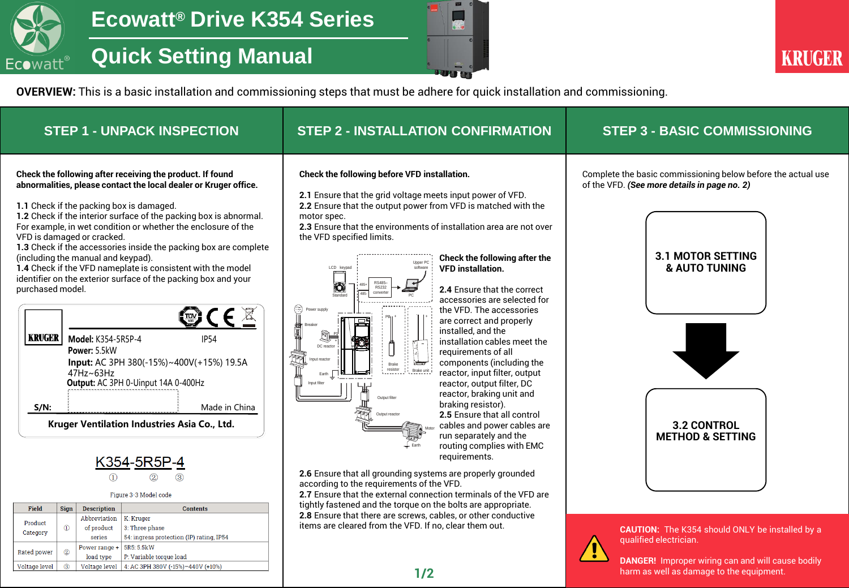

## **Quick Setting Manual**



harm as well as damage to the equipment.

**OVERVIEW:** This is a basic installation and commissioning steps that must be adhere for quick installation and commissioning.